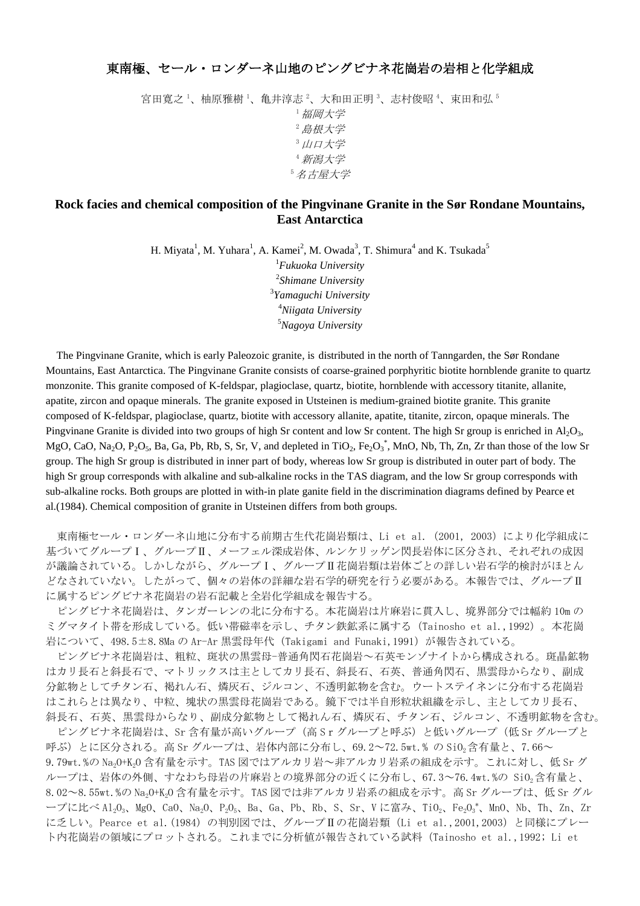## 東南極、セール・ロンダーネ山地のピングビナネ花崗岩の岩相と化学組成

宮田寛之 '、柚原雅樹 '、亀井淳志 <sup>2</sup>、大和田正明 <sup>3</sup>、志村俊昭 <sup>4</sup>、束田和弘 <sup>5</sup> <sup>1</sup>福岡大学 <sup>2</sup>島根大学 3 山口大学 <sup>4</sup>新潟大学 <sup>5</sup>名古屋大学

## **Rock facies and chemical composition of the Pingvinane Granite in the Sør Rondane Mountains, East Antarctica**

H. Miyata<sup>1</sup>, M. Yuhara<sup>1</sup>, A. Kamei<sup>2</sup>, M. Owada<sup>3</sup>, T. Shimura<sup>4</sup> and K. Tsukada<sup>5</sup>

*Fukuoka University Shimane University Yamaguchi University Niigata University Nagoya University*

The Pingvinane Granite, which is early Paleozoic granite, is distributed in the north of Tanngarden, the Sør Rondane Mountains, East Antarctica. The Pingvinane Granite consists of coarse-grained porphyritic biotite hornblende granite to quartz monzonite. This granite composed of K-feldspar, plagioclase, quartz, biotite, hornblende with accessory titanite, allanite, apatite, zircon and opaque minerals. The granite exposed in Utsteinen is medium-grained biotite granite. This granite composed of K-feldspar, plagioclase, quartz, biotite with accessory allanite, apatite, titanite, zircon, opaque minerals. The Pingvinane Granite is divided into two groups of high Sr content and low Sr content. The high Sr group is enriched in  $\text{Al}_2\text{O}_3$ , MgO, CaO, Na<sub>2</sub>O, P<sub>2</sub>O<sub>5</sub>, Ba, Ga, Pb, Rb, S, Sr, V, and depleted in TiO<sub>2</sub>, Fe<sub>2</sub>O<sub>3</sub><sup>\*</sup>, MnO, Nb, Th, Zn, Zr than those of the low Sr group. The high Sr group is distributed in inner part of body, whereas low Sr group is distributed in outer part of body. The high Sr group corresponds with alkaline and sub-alkaline rocks in the TAS diagram, and the low Sr group corresponds with sub-alkaline rocks. Both groups are plotted in with-in plate ganite field in the discrimination diagrams defined by Pearce et al.(1984). Chemical composition of granite in Utsteinen differs from both groups.

東南極セール・ロンダーネ山地に分布する前期古生代花崗岩類は、Li et al. (2001, 2003)により化学組成に 基づいてグループⅠ、グループⅡ、メーフェル深成岩体、ルンケリッゲン閃長岩体に区分され、それぞれの成因 が議論されている。しかしながら、グループⅠ、グループⅡ花崗岩類は岩体ごとの詳しい岩石学的検討がほとん どなされていない。したがって、個々の岩体の詳細な岩石学的研究を行う必要がある。本報告では、グループⅡ に属するピングビナネ花崗岩の岩石記載と全岩化学組成を報告する。

ピングビナネ花崗岩は、タンガーレンの北に分布する。本花崗岩は片麻岩に貫入し、境界部分では幅約 10m の ミグマタイト帯を形成している。低い帯磁率を示し、チタン鉄鉱系に属する(Tainosho et al.,1992)。本花崗 岩について、498.5±8.8Ma の Ar-Ar 黒雲母年代(Takigami and Funaki,1991)が報告されている。

ピングビナネ花崗岩は、粗粒、斑状の黒雲母-普通角閃石花崗岩~石英モンゾナイトから構成される。斑晶鉱物 はカリ長石と斜長石で、マトリックスは主としてカリ長石、斜長石、石英、普通角閃石、黒雲母からなり、副成 分鉱物としてチタン石、褐れん石、燐灰石、ジルコン、不透明鉱物を含む。ウートステイネンに分布する花崗岩 はこれらとは異なり、中粒、塊状の黒雲母花崗岩である。鏡下では半自形粒状組織を示し、主としてカリ長石、 斜長石、石英、黒雲母からなり、副成分鉱物として褐れん石、燐灰石、チタン石、ジルコン、不透明鉱物を含む。

ピングビナネ花崗岩は、Sr 含有量が高いグループ(高 Srグループと呼ぶ)と低いグループ(低 Sr グループと 呼ぶ)とに区分される。高 Sr グループは、岩体内部に分布し、69.2~72.5wt.% の SiO<sub>2</sub>含有量と、7.66~ 9.79wt.%の Na<sub>2</sub>0+K<sub>2</sub>O 含有量を示す。TAS 図ではアルカリ岩~非アルカリ岩系の組成を示す。これに対し、低 Sr グ ループは、岩体の外側、すなわち母岩の片麻岩との境界部分の近くに分布し、67.3~76.4wt.%の SiO<sub>2</sub>含有量と、 8.02~8.55wt.%の Na2O+K2O 含有量を示す。TAS 図では非アルカリ岩系の組成を示す。高 Sr グループは、低 Sr グル ープに比べ Al<sub>2</sub>O<sub>3</sub>、MgO、CaO、Na<sub>2</sub>O、P<sub>2</sub>O<sub>5</sub>、Ba、Ga、Pb、Rb、S、Sr、V に富み、TiO<sub>2</sub>、Fe<sub>2</sub>O<sub>3</sub>\*、MnO、Nb、Th、Zn、Zr に乏しい。Pearce et al.(1984) の判別図では、グループⅡの花崗岩類(Li et al.,2001,2003)と同様にプレー ト内花崗岩の領域にプロットされる。これまでに分析値が報告されている試料(Tainosho et al.,1992; Li et